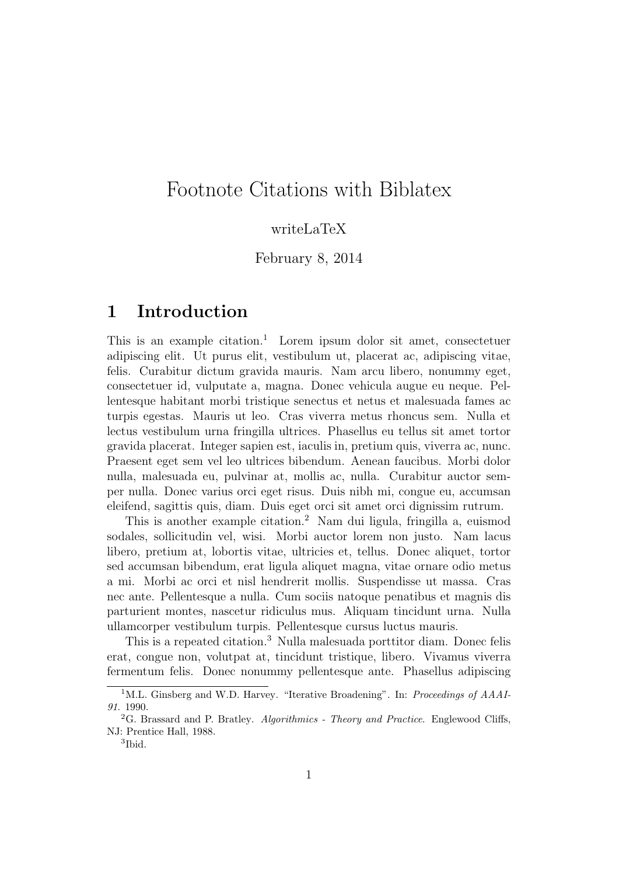## Footnote Citations with Biblatex

## writeLaTeX

February 8, 2014

## 1 Introduction

This is an example citation.<sup>1</sup> Lorem ipsum dolor sit amet, consectetuer adipiscing elit. Ut purus elit, vestibulum ut, placerat ac, adipiscing vitae, felis. Curabitur dictum gravida mauris. Nam arcu libero, nonummy eget, consectetuer id, vulputate a, magna. Donec vehicula augue eu neque. Pellentesque habitant morbi tristique senectus et netus et malesuada fames ac turpis egestas. Mauris ut leo. Cras viverra metus rhoncus sem. Nulla et lectus vestibulum urna fringilla ultrices. Phasellus eu tellus sit amet tortor gravida placerat. Integer sapien est, iaculis in, pretium quis, viverra ac, nunc. Praesent eget sem vel leo ultrices bibendum. Aenean faucibus. Morbi dolor nulla, malesuada eu, pulvinar at, mollis ac, nulla. Curabitur auctor semper nulla. Donec varius orci eget risus. Duis nibh mi, congue eu, accumsan eleifend, sagittis quis, diam. Duis eget orci sit amet orci dignissim rutrum.

This is another example citation.<sup>2</sup> Nam dui ligula, fringilla a, euismod sodales, sollicitudin vel, wisi. Morbi auctor lorem non justo. Nam lacus libero, pretium at, lobortis vitae, ultricies et, tellus. Donec aliquet, tortor sed accumsan bibendum, erat ligula aliquet magna, vitae ornare odio metus a mi. Morbi ac orci et nisl hendrerit mollis. Suspendisse ut massa. Cras nec ante. Pellentesque a nulla. Cum sociis natoque penatibus et magnis dis parturient montes, nascetur ridiculus mus. Aliquam tincidunt urna. Nulla ullamcorper vestibulum turpis. Pellentesque cursus luctus mauris.

This is a repeated citation.<sup>3</sup> Nulla malesuada porttitor diam. Donec felis erat, congue non, volutpat at, tincidunt tristique, libero. Vivamus viverra fermentum felis. Donec nonummy pellentesque ante. Phasellus adipiscing

<sup>&</sup>lt;sup>1</sup>M.L. Ginsberg and W.D. Harvey. "Iterative Broadening". In: Proceedings of AAAI-91. 1990.

 ${}^{2}$ G. Brassard and P. Bratley. Algorithmics - Theory and Practice. Englewood Cliffs, NJ: Prentice Hall, 1988.

<sup>3</sup> Ibid.